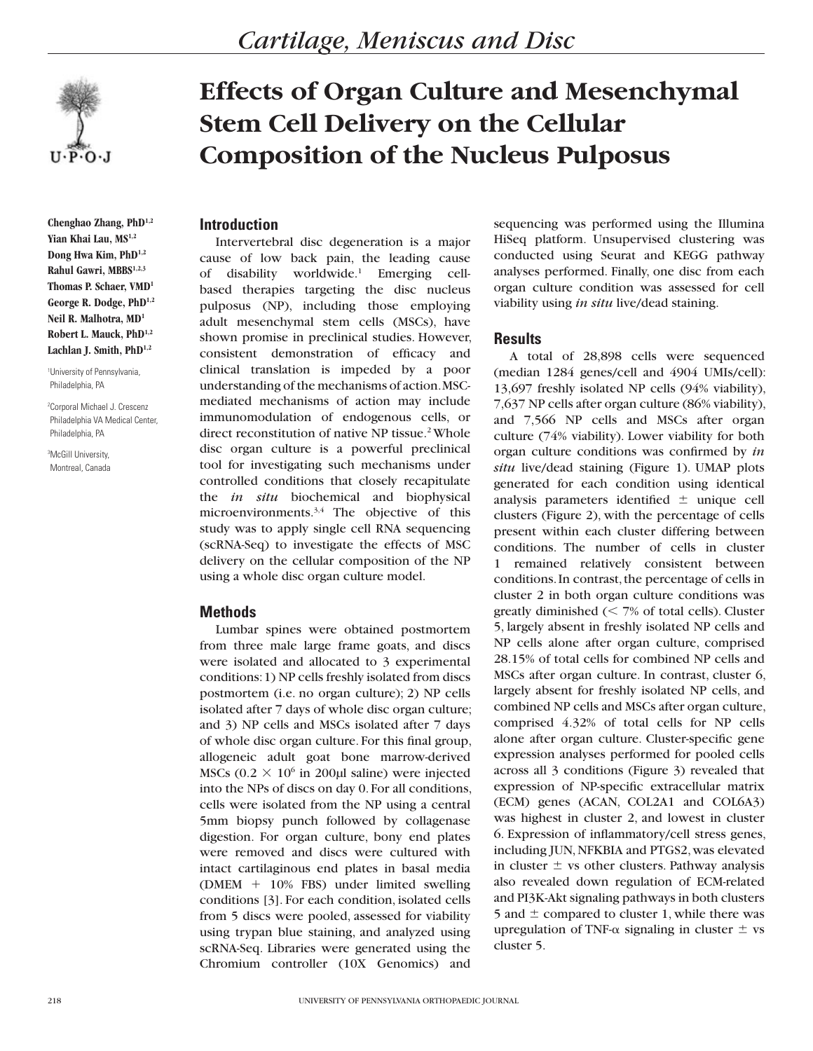

**Chenghao Zhang, PhD1,2** Yian Khai Lau, MS<sup>1,2</sup> **Dong Hwa Kim, PhD1,2 Rahul Gawri, MBBS1,2,3 Thomas P. Schaer, VMD1 George R. Dodge, PhD1,2 Neil R. Malhotra, MD1 Robert L. Mauck, PhD1,2 Lachlan J. Smith, PhD1,2**

1 University of Pennsylvania, Philadelphia, PA

2 Corporal Michael J. Crescenz Philadelphia VA Medical Center, Philadelphia, PA

3 McGill University, Montreal, Canada

# **Effects of Organ Culture and Mesenchymal Stem Cell Delivery on the Cellular Composition of the Nucleus Pulposus**

# **Introduction**

Intervertebral disc degeneration is a major cause of low back pain, the leading cause of disability worldwide.1 Emerging cellbased therapies targeting the disc nucleus pulposus (NP), including those employing adult mesenchymal stem cells (MSCs), have shown promise in preclinical studies. However, consistent demonstration of efficacy and clinical translation is impeded by a poor understanding of the mechanisms of action. MSCmediated mechanisms of action may include immunomodulation of endogenous cells, or direct reconstitution of native NP tissue.<sup>2</sup> Whole disc organ culture is a powerful preclinical tool for investigating such mechanisms under controlled conditions that closely recapitulate the *in situ* biochemical and biophysical microenvironments.<sup>3,4</sup> The objective of this study was to apply single cell RNA sequencing (scRNA-Seq) to investigate the effects of MSC delivery on the cellular composition of the NP using a whole disc organ culture model.

## **Methods**

Lumbar spines were obtained postmortem from three male large frame goats, and discs were isolated and allocated to 3 experimental conditions: 1) NP cells freshly isolated from discs postmortem (i.e. no organ culture); 2) NP cells isolated after 7 days of whole disc organ culture; and 3) NP cells and MSCs isolated after 7 days of whole disc organ culture. For this final group, allogeneic adult goat bone marrow-derived MSCs  $(0.2 \times 10^6)$  in 200µl saline) were injected into the NPs of discs on day 0. For all conditions, cells were isolated from the NP using a central 5mm biopsy punch followed by collagenase digestion. For organ culture, bony end plates were removed and discs were cultured with intact cartilaginous end plates in basal media (DMEM  $+$  10% FBS) under limited swelling conditions [3]. For each condition, isolated cells from 5 discs were pooled, assessed for viability using trypan blue staining, and analyzed using scRNA-Seq. Libraries were generated using the Chromium controller (10X Genomics) and

sequencing was performed using the Illumina HiSeq platform. Unsupervised clustering was conducted using Seurat and KEGG pathway analyses performed. Finally, one disc from each organ culture condition was assessed for cell viability using *in situ* live/dead staining.

# **Results**

A total of 28,898 cells were sequenced (median 1284 genes/cell and 4904 UMIs/cell): 13,697 freshly isolated NP cells (94% viability), 7,637 NP cells after organ culture (86% viability), and 7,566 NP cells and MSCs after organ culture (74% viability). Lower viability for both organ culture conditions was confirmed by *in situ* live/dead staining (Figure 1). UMAP plots generated for each condition using identical analysis parameters identified  $\pm$  unique cell clusters (Figure 2), with the percentage of cells present within each cluster differing between conditions. The number of cells in cluster 1 remained relatively consistent between conditions. In contrast, the percentage of cells in cluster 2 in both organ culture conditions was greatly diminished  $\ll$  7% of total cells). Cluster 5, largely absent in freshly isolated NP cells and NP cells alone after organ culture, comprised 28.15% of total cells for combined NP cells and MSCs after organ culture. In contrast, cluster 6, largely absent for freshly isolated NP cells, and combined NP cells and MSCs after organ culture, comprised 4.32% of total cells for NP cells alone after organ culture. Cluster-specific gene expression analyses performed for pooled cells across all 3 conditions (Figure 3) revealed that expression of NP-specific extracellular matrix (ECM) genes (ACAN, COL2A1 and COL6A3) was highest in cluster 2, and lowest in cluster 6. Expression of inflammatory/cell stress genes, including JUN, NFKBIA and PTGS2, was elevated in cluster  $\pm$  vs other clusters. Pathway analysis also revealed down regulation of ECM-related and PI3K-Akt signaling pathways in both clusters 5 and  $\pm$  compared to cluster 1, while there was upregulation of TNF- $\alpha$  signaling in cluster  $\pm$  vs cluster 5.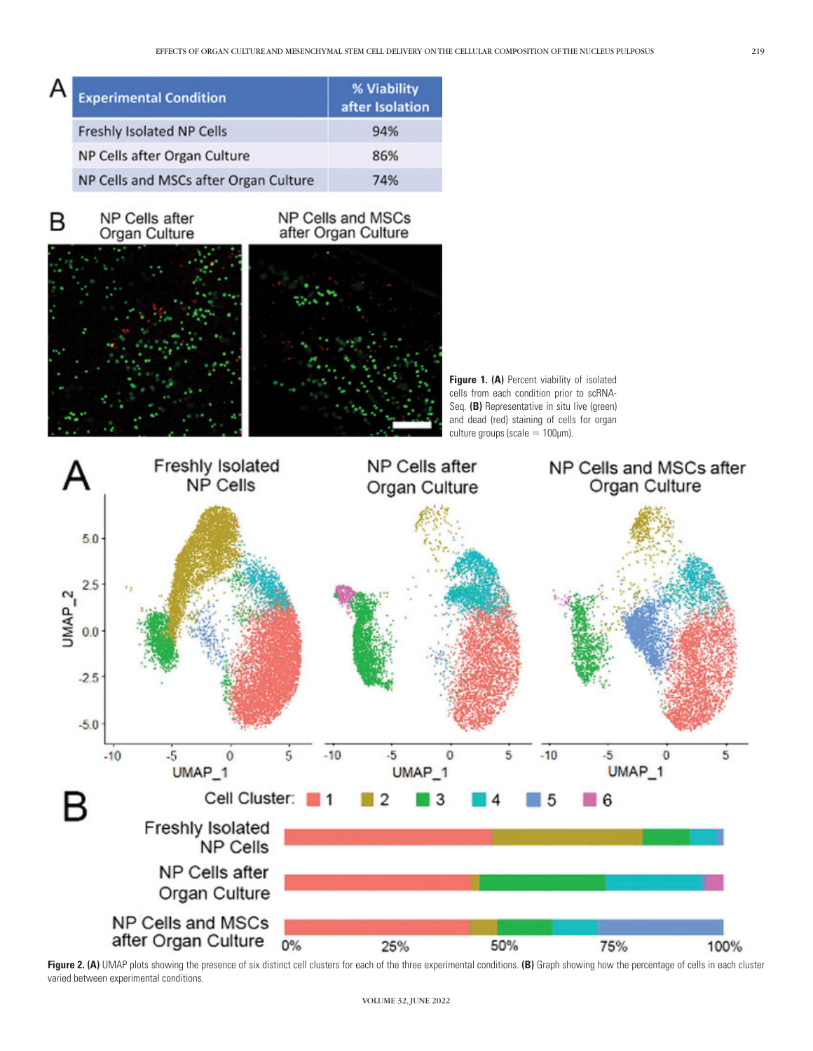| А | <b>Experimental Condition</b>         | % Viability<br>after Isolation |
|---|---------------------------------------|--------------------------------|
|   | <b>Freshly Isolated NP Cells</b>      | 94%                            |
|   | NP Cells after Organ Culture          | 86%                            |
|   | NP Cells and MSCs after Organ Culture | 74%                            |

B

NP Cells after Organ Culture

# NP Cells and MSCs after Organ Culture



Figure 1. (A) Percent viability of isolated cells from each condition prior to scRNA-Seq. **(B)** Representative in situ live (green) and dead (red) staining of cells for organ culture groups (scale  $= 100 \mu m$ ).



Figure 2. (A) UMAP plots showing the presence of six distinct cell clusters for each of the three experimental conditions. (B) Graph showing how the percentage of cells in each cluster varied between experimental conditions.